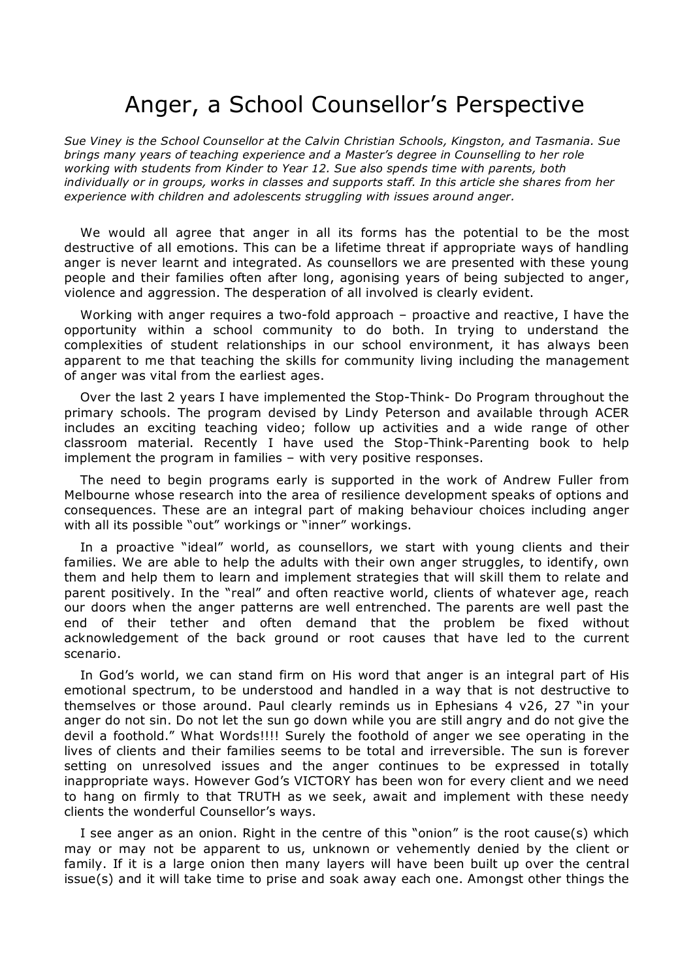## Anger, a School Counsellor's Perspective

*Sue Viney is the School Counsellor at the Calvin Christian Schools, Kingston, and Tasmania. Sue brings many years of teaching experience and a Master's degree in Counselling to her role working with students from Kinder to Year 12. Sue also spends time with parents, both individually or in groups, works in classes and supports staff. In this article she shares from her experience with children and adolescents struggling with issues around anger.*

We would all agree that anger in all its forms has the potential to be the most destructive of all emotions. This can be a lifetime threat if appropriate ways of handling anger is never learnt and integrated. As counsellors we are presented with these young people and their families often after long, agonising years of being subjected to anger, violence and aggression. The desperation of all involved is clearly evident.

Working with anger requires a two-fold approach  $-$  proactive and reactive, I have the opportunity within a school community to do both. In trying to understand the complexities of student relationships in our school environment, it has always been apparent to me that teaching the skills for community living including the management of anger was vital from the earliest ages.

Over the last 2 years I have implemented the Stop-Think- Do Program throughout the primary schools. The program devised by Lindy Peterson and available through ACER includes an exciting teaching video; follow up activities and a wide range of other classroom material. Recently I have used the Stop-Think-Parenting book to help implement the program in families – with very positive responses.

The need to begin programs early is supported in the work of Andrew Fuller from Melbourne whose research into the area of resilience development speaks of options and consequences. These are an integral part of making behaviour choices including anger with all its possible "out" workings or "inner" workings.

In a proactive "ideal" world, as counsellors, we start with young clients and their families. We are able to help the adults with their own anger struggles, to identify, own them and help them to learn and implement strategies that will skill them to relate and parent positively. In the "real" and often reactive world, clients of whatever age, reach our doors when the anger patterns are well entrenched. The parents are well past the end of their tether and often demand that the problem be fixed without acknowledgement of the back ground or root causes that have led to the current scenario.

In God's world, we can stand firm on His word that anger is an integral part of His emotional spectrum, to be understood and handled in a way that is not destructive to themselves or those around. Paul clearly reminds us in Ephesians 4 v26, 27 "in your anger do not sin. Do not let the sun go down while you are still angry and do not give the devil a foothold." What Words!!!! Surely the foothold of anger we see operating in the lives of clients and their families seems to be total and irreversible. The sun is forever setting on unresolved issues and the anger continues to be expressed in totally inappropriate ways. However God's VICTORY has been won for every client and we need to hang on firmly to that TRUTH as we seek, await and implement with these needy clients the wonderful Counsellor's ways.

I see anger as an onion. Right in the centre of this "onion" is the root cause(s) which may or may not be apparent to us, unknown or vehemently denied by the client or family. If it is a large onion then many layers will have been built up over the central issue(s) and it will take time to prise and soak away each one. Amongst other things the